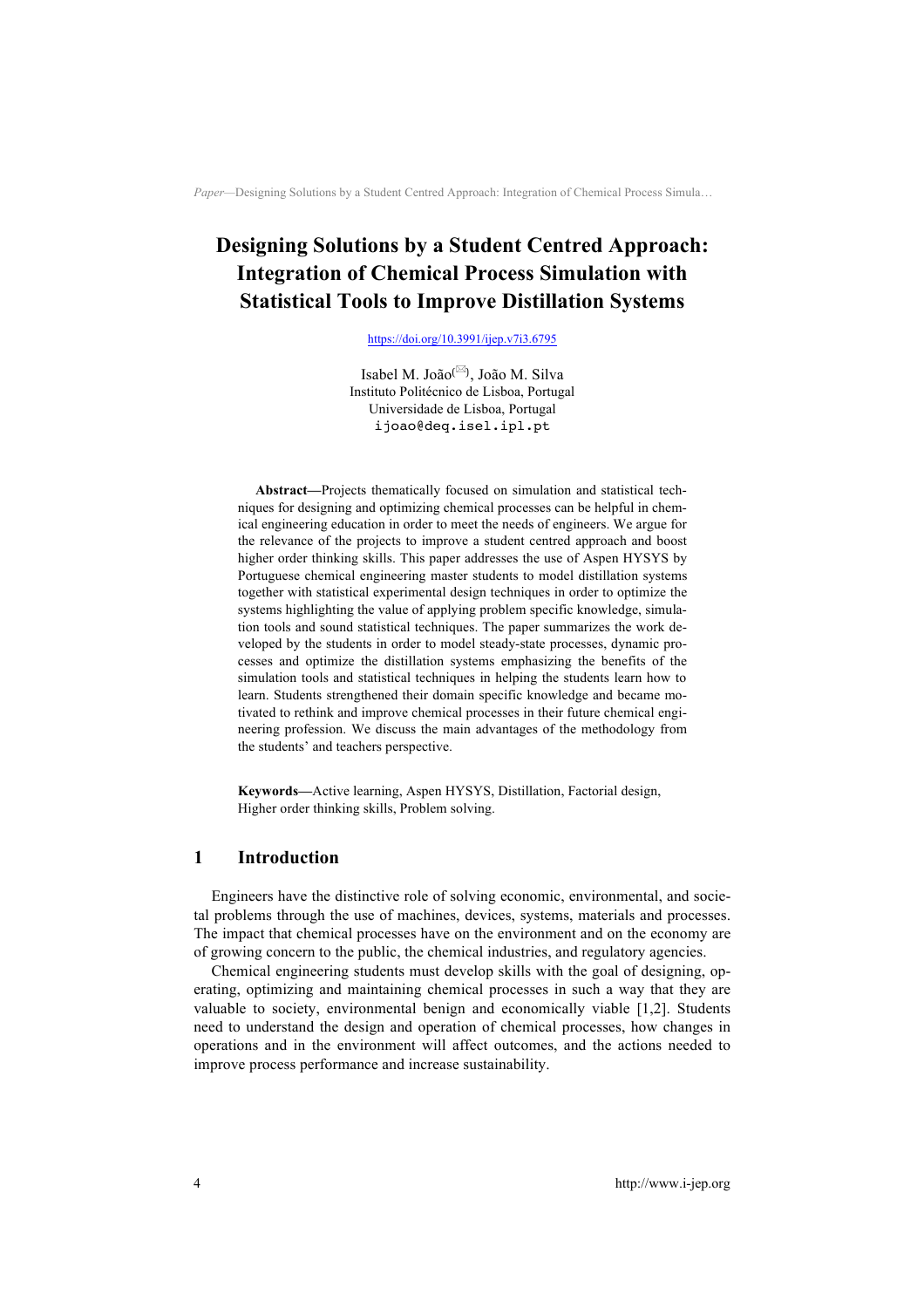# **Designing Solutions by a Student Centred Approach: Integration of Chemical Process Simulation with Statistical Tools to Improve Distillation Systems**

https://doi.org/10.3991/ijep.v7i3.6795

Isabel M. João<sup>(⊠)</sup>, João M. Silva Instituto Politécnico de Lisboa, Portugal Universidade de Lisboa, Portugal ijoao@deq.isel.ipl.pt

**Abstract—**Projects thematically focused on simulation and statistical techniques for designing and optimizing chemical processes can be helpful in chemical engineering education in order to meet the needs of engineers. We argue for the relevance of the projects to improve a student centred approach and boost higher order thinking skills. This paper addresses the use of Aspen HYSYS by Portuguese chemical engineering master students to model distillation systems together with statistical experimental design techniques in order to optimize the systems highlighting the value of applying problem specific knowledge, simulation tools and sound statistical techniques. The paper summarizes the work developed by the students in order to model steady-state processes, dynamic processes and optimize the distillation systems emphasizing the benefits of the simulation tools and statistical techniques in helping the students learn how to learn. Students strengthened their domain specific knowledge and became motivated to rethink and improve chemical processes in their future chemical engineering profession. We discuss the main advantages of the methodology from the students' and teachers perspective.

**Keywords—**Active learning, Aspen HYSYS, Distillation, Factorial design, Higher order thinking skills, Problem solving.

### **1 Introduction**

Engineers have the distinctive role of solving economic, environmental, and societal problems through the use of machines, devices, systems, materials and processes. The impact that chemical processes have on the environment and on the economy are of growing concern to the public, the chemical industries, and regulatory agencies.

Chemical engineering students must develop skills with the goal of designing, operating, optimizing and maintaining chemical processes in such a way that they are valuable to society, environmental benign and economically viable [1,2]. Students need to understand the design and operation of chemical processes, how changes in operations and in the environment will affect outcomes, and the actions needed to improve process performance and increase sustainability.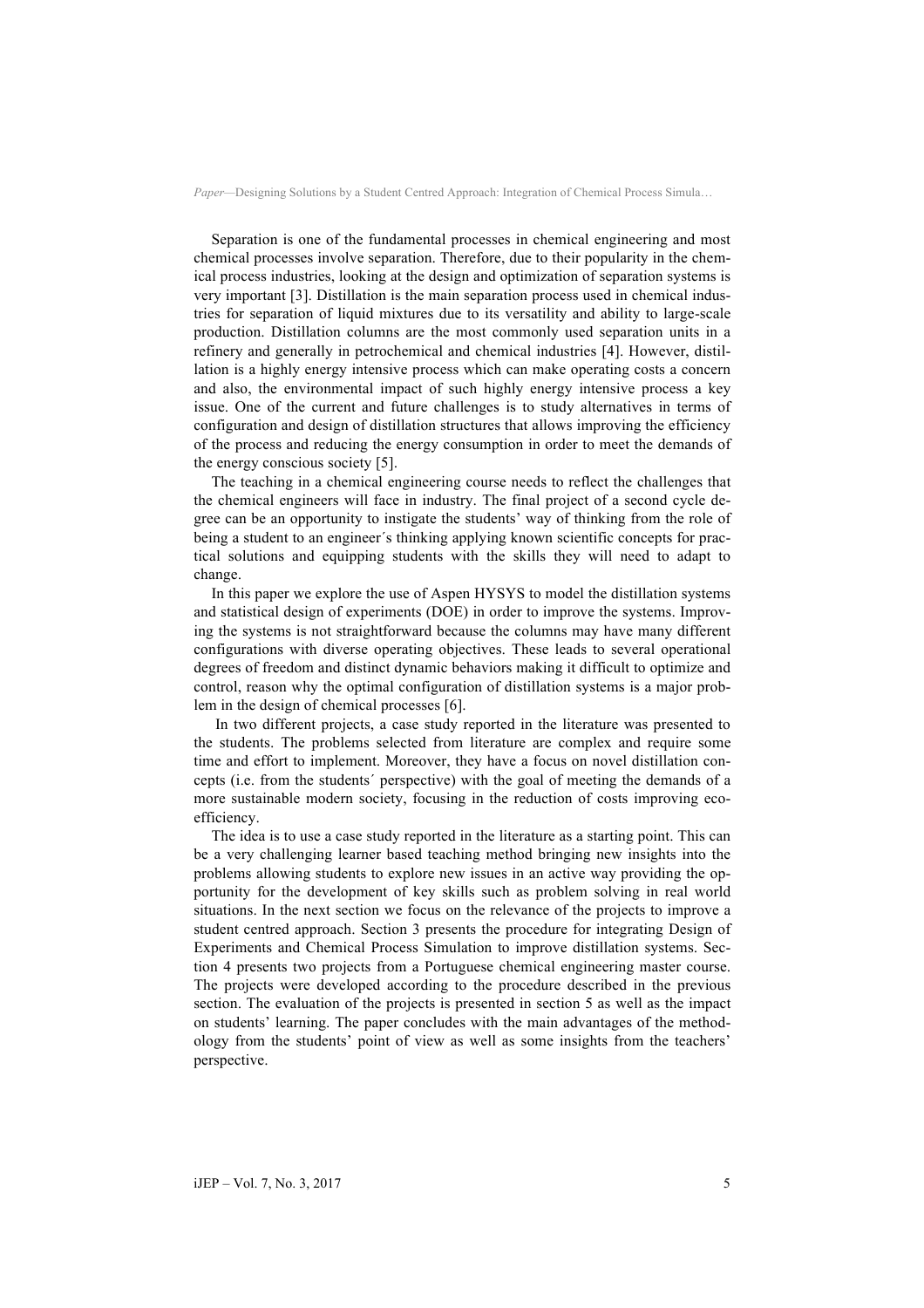Separation is one of the fundamental processes in chemical engineering and most chemical processes involve separation. Therefore, due to their popularity in the chemical process industries, looking at the design and optimization of separation systems is very important [3]. Distillation is the main separation process used in chemical industries for separation of liquid mixtures due to its versatility and ability to large-scale production. Distillation columns are the most commonly used separation units in a refinery and generally in petrochemical and chemical industries [4]. However, distillation is a highly energy intensive process which can make operating costs a concern and also, the environmental impact of such highly energy intensive process a key issue. One of the current and future challenges is to study alternatives in terms of configuration and design of distillation structures that allows improving the efficiency of the process and reducing the energy consumption in order to meet the demands of the energy conscious society [5].

The teaching in a chemical engineering course needs to reflect the challenges that the chemical engineers will face in industry. The final project of a second cycle degree can be an opportunity to instigate the students' way of thinking from the role of being a student to an engineer´s thinking applying known scientific concepts for practical solutions and equipping students with the skills they will need to adapt to change.

In this paper we explore the use of Aspen HYSYS to model the distillation systems and statistical design of experiments (DOE) in order to improve the systems. Improving the systems is not straightforward because the columns may have many different configurations with diverse operating objectives. These leads to several operational degrees of freedom and distinct dynamic behaviors making it difficult to optimize and control, reason why the optimal configuration of distillation systems is a major problem in the design of chemical processes [6].

In two different projects, a case study reported in the literature was presented to the students. The problems selected from literature are complex and require some time and effort to implement. Moreover, they have a focus on novel distillation concepts (i.e. from the students´ perspective) with the goal of meeting the demands of a more sustainable modern society, focusing in the reduction of costs improving ecoefficiency.

The idea is to use a case study reported in the literature as a starting point. This can be a very challenging learner based teaching method bringing new insights into the problems allowing students to explore new issues in an active way providing the opportunity for the development of key skills such as problem solving in real world situations. In the next section we focus on the relevance of the projects to improve a student centred approach. Section 3 presents the procedure for integrating Design of Experiments and Chemical Process Simulation to improve distillation systems. Section 4 presents two projects from a Portuguese chemical engineering master course. The projects were developed according to the procedure described in the previous section. The evaluation of the projects is presented in section 5 as well as the impact on students' learning. The paper concludes with the main advantages of the methodology from the students' point of view as well as some insights from the teachers' perspective.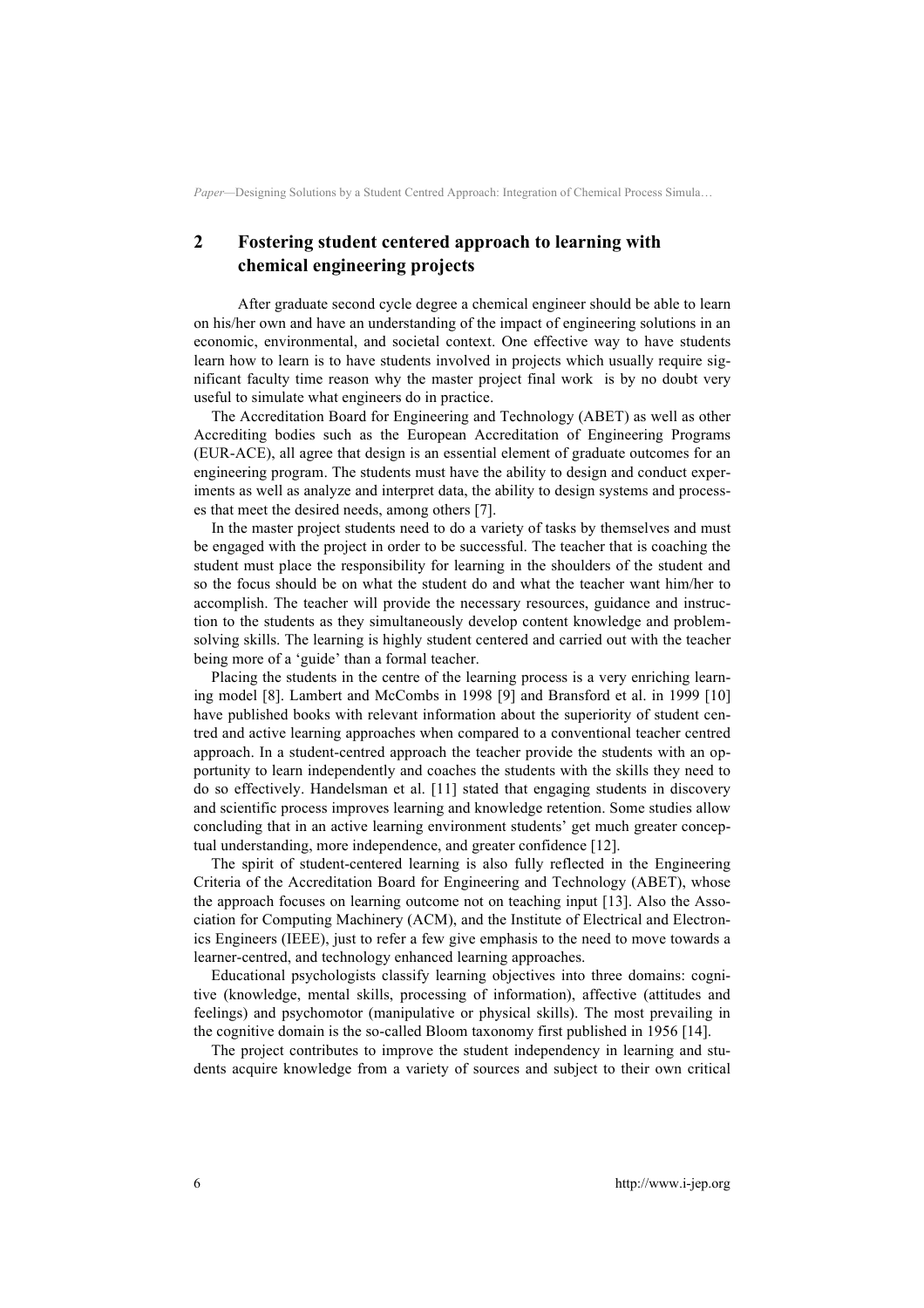### **2 Fostering student centered approach to learning with chemical engineering projects**

After graduate second cycle degree a chemical engineer should be able to learn on his/her own and have an understanding of the impact of engineering solutions in an economic, environmental, and societal context. One effective way to have students learn how to learn is to have students involved in projects which usually require significant faculty time reason why the master project final work is by no doubt very useful to simulate what engineers do in practice.

The Accreditation Board for Engineering and Technology (ABET) as well as other Accrediting bodies such as the European Accreditation of Engineering Programs (EUR-ACE), all agree that design is an essential element of graduate outcomes for an engineering program. The students must have the ability to design and conduct experiments as well as analyze and interpret data, the ability to design systems and processes that meet the desired needs, among others [7].

In the master project students need to do a variety of tasks by themselves and must be engaged with the project in order to be successful. The teacher that is coaching the student must place the responsibility for learning in the shoulders of the student and so the focus should be on what the student do and what the teacher want him/her to accomplish. The teacher will provide the necessary resources, guidance and instruction to the students as they simultaneously develop content knowledge and problemsolving skills. The learning is highly student centered and carried out with the teacher being more of a 'guide' than a formal teacher.

Placing the students in the centre of the learning process is a very enriching learning model [8]. Lambert and McCombs in 1998 [9] and Bransford et al. in 1999 [10] have published books with relevant information about the superiority of student centred and active learning approaches when compared to a conventional teacher centred approach. In a student-centred approach the teacher provide the students with an opportunity to learn independently and coaches the students with the skills they need to do so effectively. Handelsman et al. [11] stated that engaging students in discovery and scientific process improves learning and knowledge retention. Some studies allow concluding that in an active learning environment students' get much greater conceptual understanding, more independence, and greater confidence [12].

The spirit of student-centered learning is also fully reflected in the Engineering Criteria of the Accreditation Board for Engineering and Technology (ABET), whose the approach focuses on learning outcome not on teaching input [13]. Also the Association for Computing Machinery (ACM), and the Institute of Electrical and Electronics Engineers (IEEE), just to refer a few give emphasis to the need to move towards a learner-centred, and technology enhanced learning approaches.

Educational psychologists classify learning objectives into three domains: cognitive (knowledge, mental skills, processing of information), affective (attitudes and feelings) and psychomotor (manipulative or physical skills). The most prevailing in the cognitive domain is the so-called Bloom taxonomy first published in 1956 [14].

The project contributes to improve the student independency in learning and students acquire knowledge from a variety of sources and subject to their own critical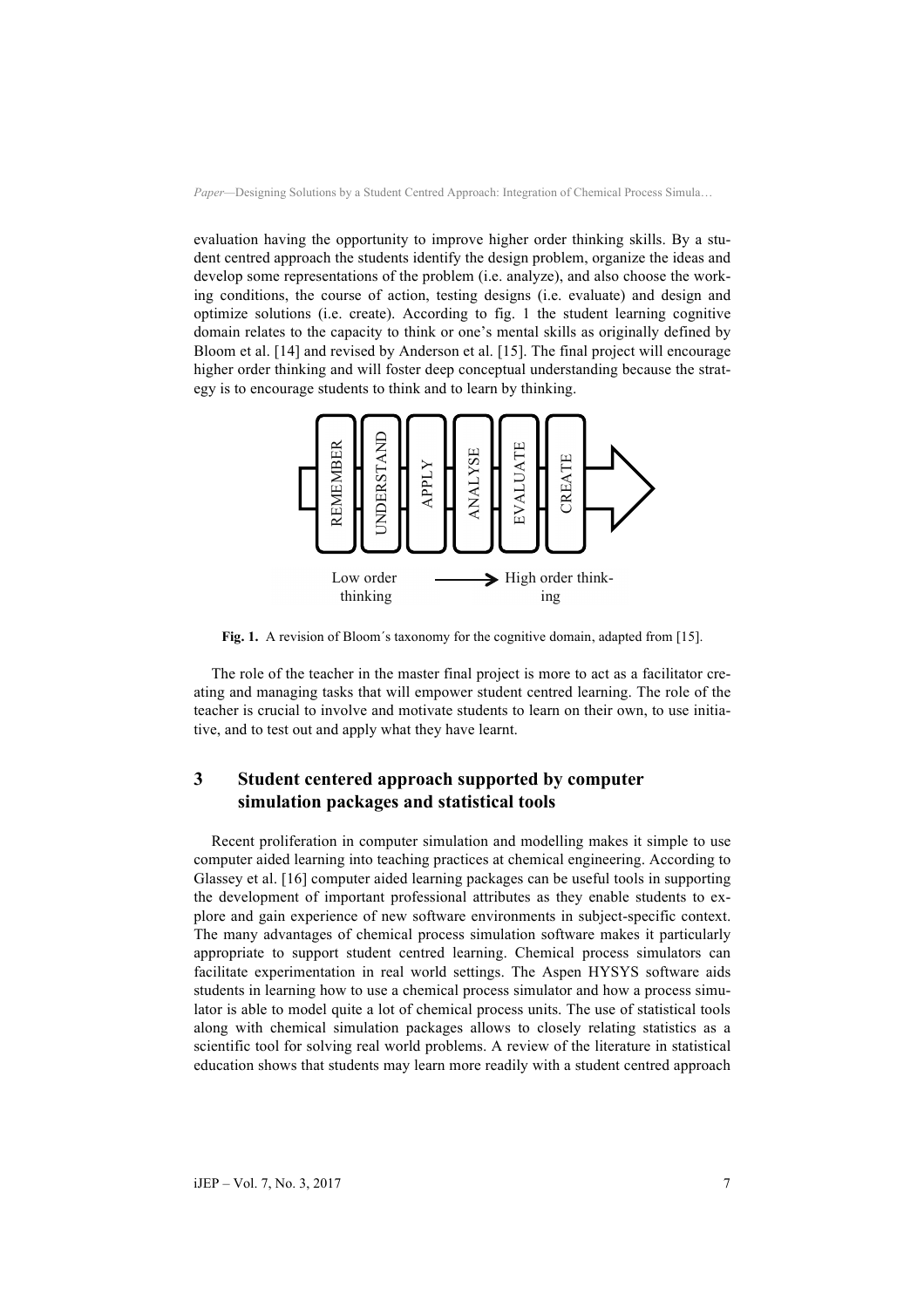evaluation having the opportunity to improve higher order thinking skills. By a student centred approach the students identify the design problem, organize the ideas and develop some representations of the problem (i.e. analyze), and also choose the working conditions, the course of action, testing designs (i.e. evaluate) and design and optimize solutions (i.e. create). According to fig. 1 the student learning cognitive domain relates to the capacity to think or one's mental skills as originally defined by Bloom et al. [14] and revised by Anderson et al. [15]. The final project will encourage higher order thinking and will foster deep conceptual understanding because the strategy is to encourage students to think and to learn by thinking.



**Fig. 1.** A revision of Bloom´s taxonomy for the cognitive domain, adapted from [15].

The role of the teacher in the master final project is more to act as a facilitator creating and managing tasks that will empower student centred learning. The role of the teacher is crucial to involve and motivate students to learn on their own, to use initiative, and to test out and apply what they have learnt.

# **3 Student centered approach supported by computer simulation packages and statistical tools**

Recent proliferation in computer simulation and modelling makes it simple to use computer aided learning into teaching practices at chemical engineering. According to Glassey et al. [16] computer aided learning packages can be useful tools in supporting the development of important professional attributes as they enable students to explore and gain experience of new software environments in subject-specific context. The many advantages of chemical process simulation software makes it particularly appropriate to support student centred learning. Chemical process simulators can facilitate experimentation in real world settings. The Aspen HYSYS software aids students in learning how to use a chemical process simulator and how a process simulator is able to model quite a lot of chemical process units. The use of statistical tools along with chemical simulation packages allows to closely relating statistics as a scientific tool for solving real world problems. A review of the literature in statistical Fig. 1. A revision of Bloom is taxonomy for the cognitive domain, adapted from [15].<br>
The role of the teacher in the master final project is more to act as a facilitator reading and managing tasks that will empower studen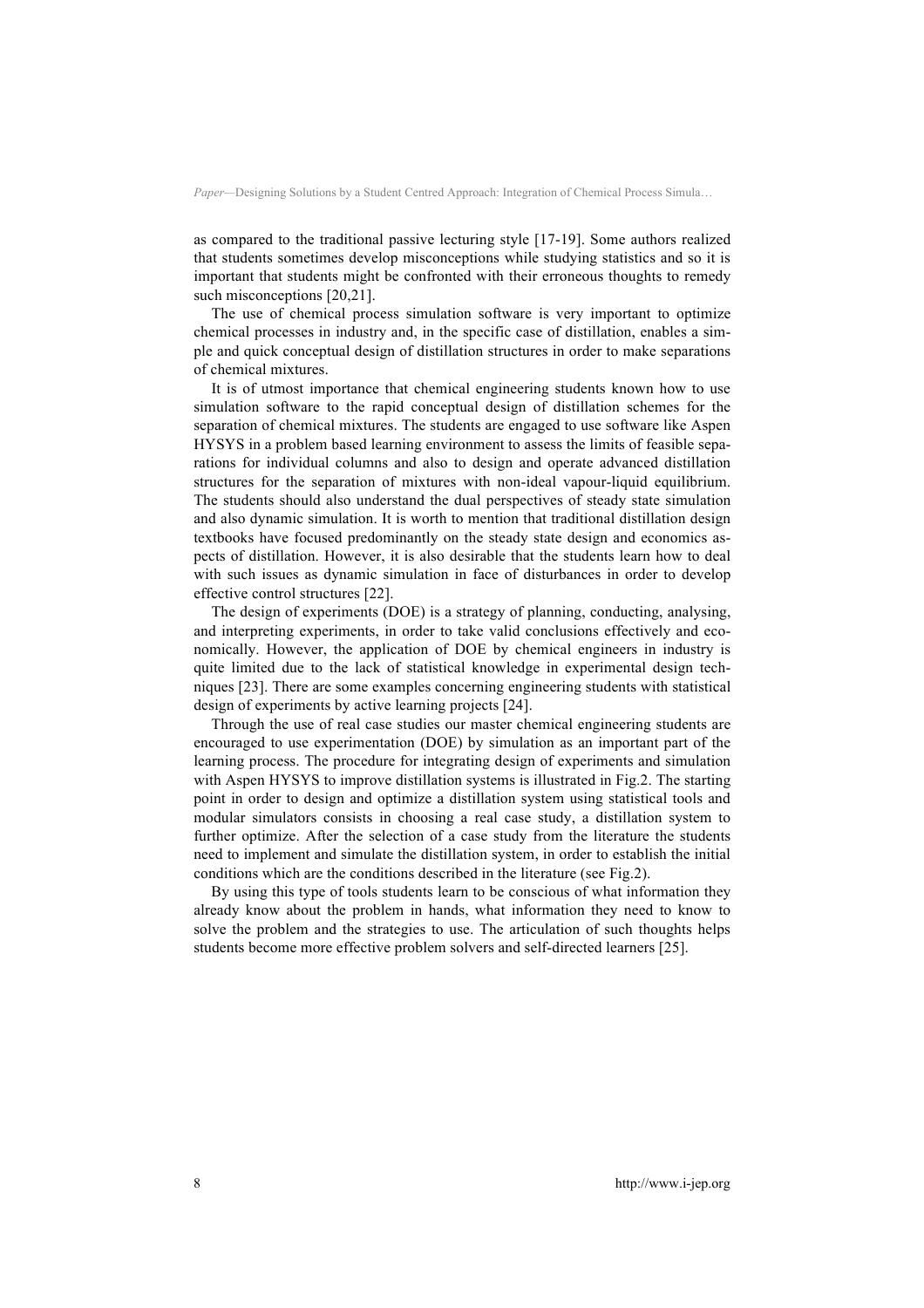as compared to the traditional passive lecturing style [17-19]. Some authors realized that students sometimes develop misconceptions while studying statistics and so it is important that students might be confronted with their erroneous thoughts to remedy such misconceptions [20,21].

The use of chemical process simulation software is very important to optimize chemical processes in industry and, in the specific case of distillation, enables a simple and quick conceptual design of distillation structures in order to make separations of chemical mixtures.

It is of utmost importance that chemical engineering students known how to use simulation software to the rapid conceptual design of distillation schemes for the separation of chemical mixtures. The students are engaged to use software like Aspen HYSYS in a problem based learning environment to assess the limits of feasible separations for individual columns and also to design and operate advanced distillation structures for the separation of mixtures with non-ideal vapour-liquid equilibrium. The students should also understand the dual perspectives of steady state simulation and also dynamic simulation. It is worth to mention that traditional distillation design textbooks have focused predominantly on the steady state design and economics aspects of distillation. However, it is also desirable that the students learn how to deal with such issues as dynamic simulation in face of disturbances in order to develop effective control structures [22].

The design of experiments (DOE) is a strategy of planning, conducting, analysing, and interpreting experiments, in order to take valid conclusions effectively and economically. However, the application of DOE by chemical engineers in industry is quite limited due to the lack of statistical knowledge in experimental design techniques [23]. There are some examples concerning engineering students with statistical design of experiments by active learning projects [24].

Through the use of real case studies our master chemical engineering students are encouraged to use experimentation (DOE) by simulation as an important part of the learning process. The procedure for integrating design of experiments and simulation with Aspen HYSYS to improve distillation systems is illustrated in Fig.2. The starting point in order to design and optimize a distillation system using statistical tools and modular simulators consists in choosing a real case study, a distillation system to further optimize. After the selection of a case study from the literature the students need to implement and simulate the distillation system, in order to establish the initial conditions which are the conditions described in the literature (see Fig.2).

By using this type of tools students learn to be conscious of what information they already know about the problem in hands, what information they need to know to solve the problem and the strategies to use. The articulation of such thoughts helps students become more effective problem solvers and self-directed learners [25].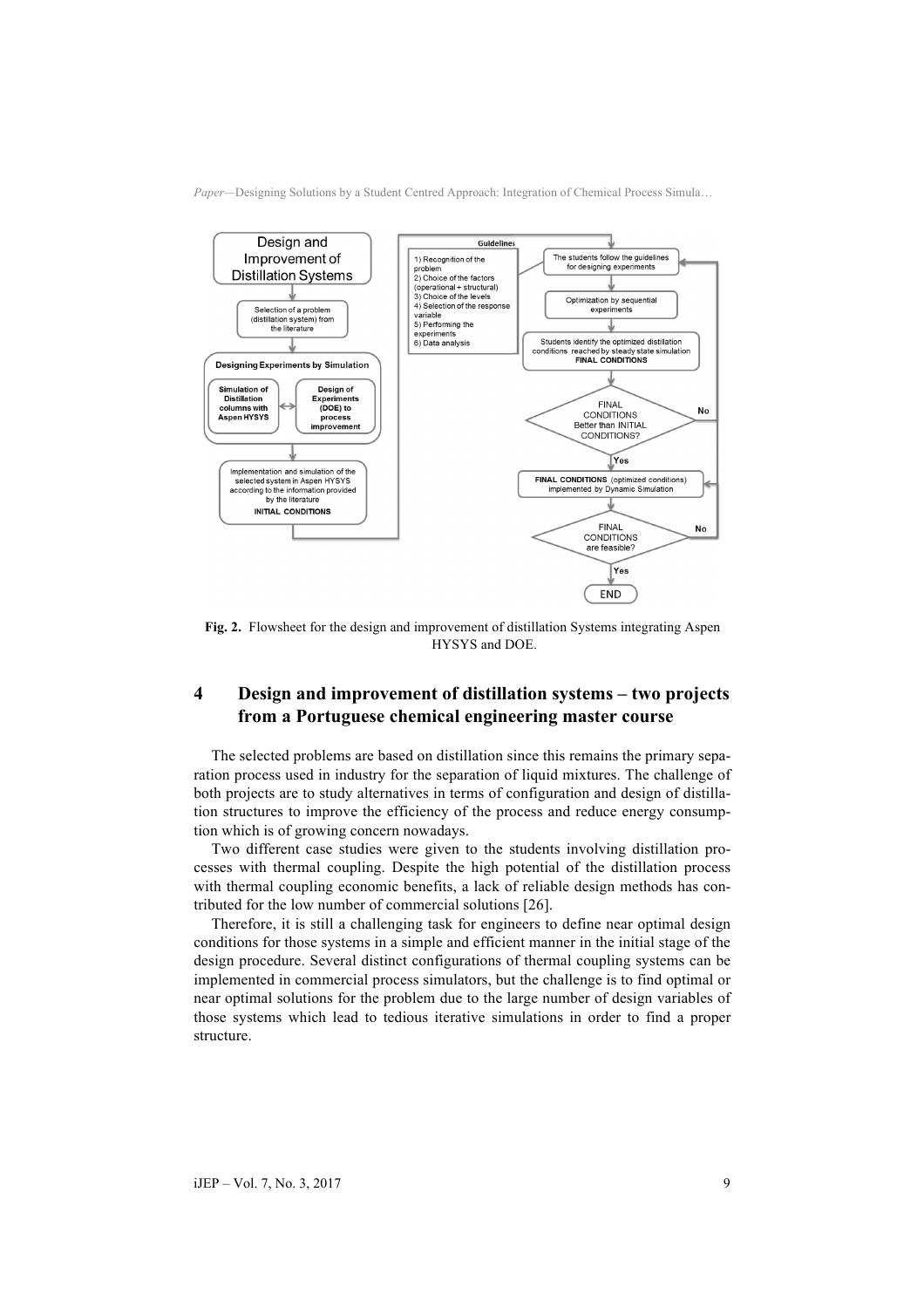

**Fig. 2.** Flowsheet for the design and improvement of distillation Systems integrating Aspen HYSYS and DOE.

# **4 Design and improvement of distillation systems – two projects from a Portuguese chemical engineering master course**

The selected problems are based on distillation since this remains the primary separation process used in industry for the separation of liquid mixtures. The challenge of both projects are to study alternatives in terms of configuration and design of distillation structures to improve the efficiency of the process and reduce energy consumption which is of growing concern nowadays.

Two different case studies were given to the students involving distillation processes with thermal coupling. Despite the high potential of the distillation process with thermal coupling economic benefits, a lack of reliable design methods has contributed for the low number of commercial solutions [26].

Therefore, it is still a challenging task for engineers to define near optimal design conditions for those systems in a simple and efficient manner in the initial stage of the design procedure. Several distinct configurations of thermal coupling systems can be implemented in commercial process simulators, but the challenge is to find optimal or near optimal solutions for the problem due to the large number of design variables of those systems which lead to tedious iterative simulations in order to find a proper structure.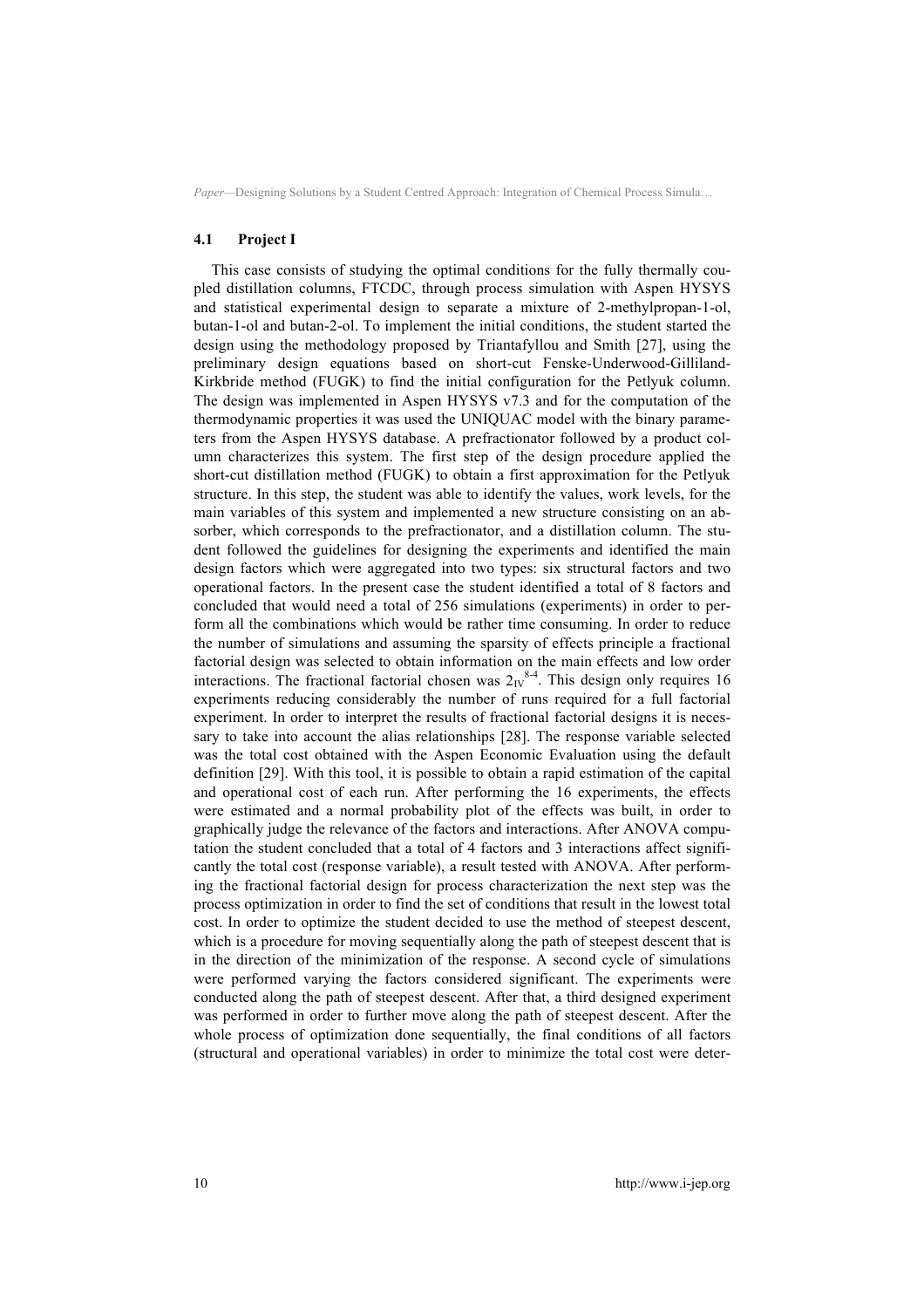#### **4.1 Project I**

This case consists of studying the optimal conditions for the fully thermally coupled distillation columns, FTCDC, through process simulation with Aspen HYSYS and statistical experimental design to separate a mixture of 2-methylpropan-1-ol, butan-1-ol and butan-2-ol. To implement the initial conditions, the student started the design using the methodology proposed by Triantafyllou and Smith [27], using the preliminary design equations based on short-cut Fenske-Underwood-Gilliland-Kirkbride method (FUGK) to find the initial configuration for the Petlyuk column. The design was implemented in Aspen HYSYS v7.3 and for the computation of the thermodynamic properties it was used the UNIQUAC model with the binary parameters from the Aspen HYSYS database. A prefractionator followed by a product column characterizes this system. The first step of the design procedure applied the short-cut distillation method (FUGK) to obtain a first approximation for the Petlyuk structure. In this step, the student was able to identify the values, work levels, for the main variables of this system and implemented a new structure consisting on an absorber, which corresponds to the prefractionator, and a distillation column. The student followed the guidelines for designing the experiments and identified the main design factors which were aggregated into two types: six structural factors and two operational factors. In the present case the student identified a total of 8 factors and concluded that would need a total of 256 simulations (experiments) in order to perform all the combinations which would be rather time consuming. In order to reduce the number of simulations and assuming the sparsity of effects principle a fractional factorial design was selected to obtain information on the main effects and low order interactions. The fractional factorial chosen was  $2_{\text{IV}}^{8-4}$ . This design only requires 16 experiments reducing considerably the number of runs required for a full factorial experiment. In order to interpret the results of fractional factorial designs it is necessary to take into account the alias relationships [28]. The response variable selected was the total cost obtained with the Aspen Economic Evaluation using the default definition [29]. With this tool, it is possible to obtain a rapid estimation of the capital and operational cost of each run. After performing the 16 experiments, the effects were estimated and a normal probability plot of the effects was built, in order to graphically judge the relevance of the factors and interactions. After ANOVA computation the student concluded that a total of 4 factors and 3 interactions affect significantly the total cost (response variable), a result tested with ANOVA. After performing the fractional factorial design for process characterization the next step was the process optimization in order to find the set of conditions that result in the lowest total cost. In order to optimize the student decided to use the method of steepest descent, which is a procedure for moving sequentially along the path of steepest descent that is in the direction of the minimization of the response. A second cycle of simulations were performed varying the factors considered significant. The experiments were conducted along the path of steepest descent. After that, a third designed experiment was performed in order to further move along the path of steepest descent. After the whole process of optimization done sequentially, the final conditions of all factors (structural and operational variables) in order to minimize the total cost were deter-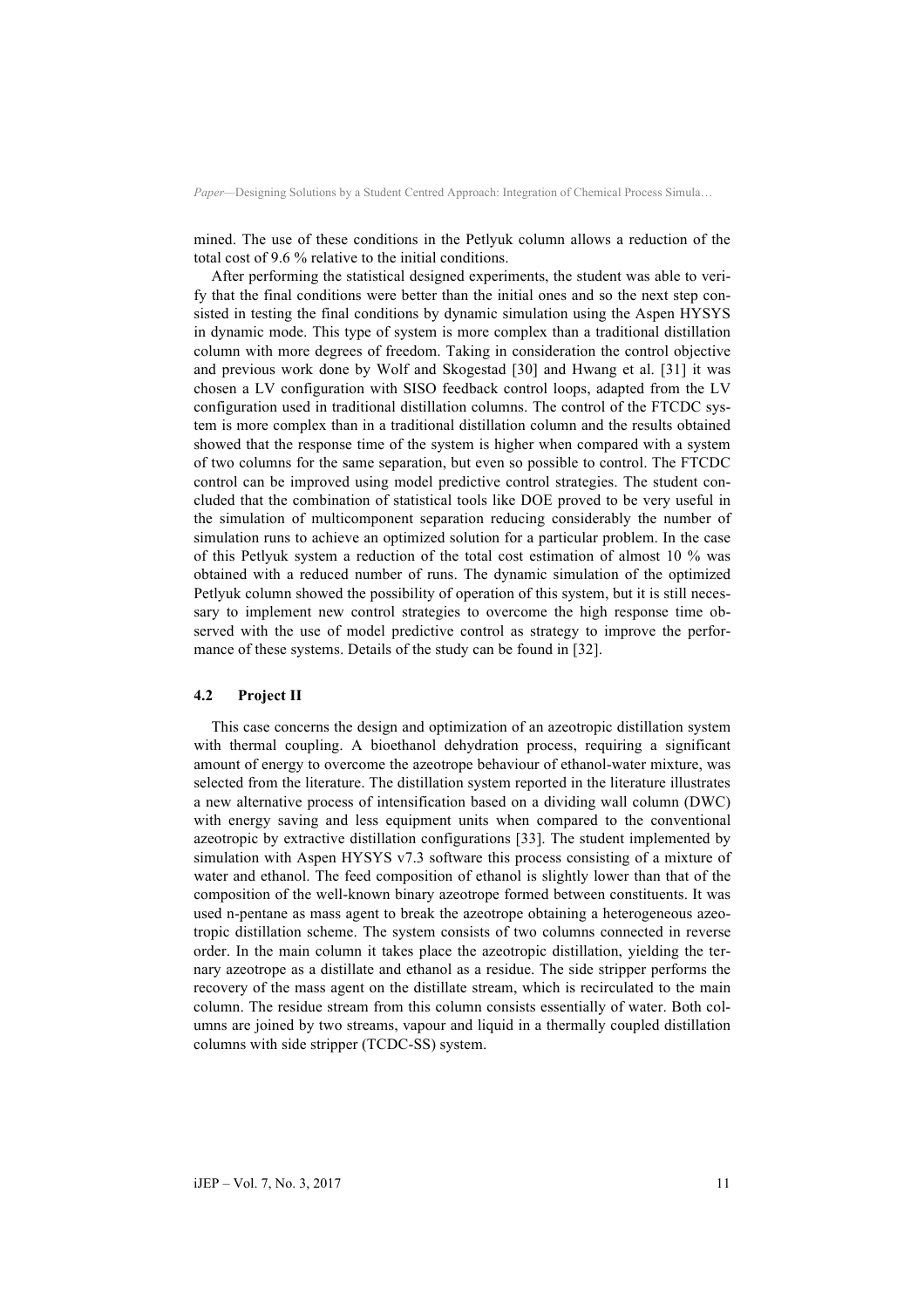mined. The use of these conditions in the Petlyuk column allows a reduction of the total cost of 9.6 % relative to the initial conditions.

After performing the statistical designed experiments, the student was able to verify that the final conditions were better than the initial ones and so the next step consisted in testing the final conditions by dynamic simulation using the Aspen HYSYS in dynamic mode. This type of system is more complex than a traditional distillation column with more degrees of freedom. Taking in consideration the control objective and previous work done by Wolf and Skogestad [30] and Hwang et al. [31] it was chosen a LV configuration with SISO feedback control loops, adapted from the LV configuration used in traditional distillation columns. The control of the FTCDC system is more complex than in a traditional distillation column and the results obtained showed that the response time of the system is higher when compared with a system of two columns for the same separation, but even so possible to control. The FTCDC control can be improved using model predictive control strategies. The student concluded that the combination of statistical tools like DOE proved to be very useful in the simulation of multicomponent separation reducing considerably the number of simulation runs to achieve an optimized solution for a particular problem. In the case of this Petlyuk system a reduction of the total cost estimation of almost 10 % was obtained with a reduced number of runs. The dynamic simulation of the optimized Petlyuk column showed the possibility of operation of this system, but it is still necessary to implement new control strategies to overcome the high response time observed with the use of model predictive control as strategy to improve the performance of these systems. Details of the study can be found in [32].

#### **4.2 Project II**

This case concerns the design and optimization of an azeotropic distillation system with thermal coupling. A bioethanol dehydration process, requiring a significant amount of energy to overcome the azeotrope behaviour of ethanol-water mixture, was selected from the literature. The distillation system reported in the literature illustrates a new alternative process of intensification based on a dividing wall column (DWC) with energy saving and less equipment units when compared to the conventional azeotropic by extractive distillation configurations [33]. The student implemented by simulation with Aspen HYSYS v7.3 software this process consisting of a mixture of water and ethanol. The feed composition of ethanol is slightly lower than that of the composition of the well-known binary azeotrope formed between constituents. It was used n-pentane as mass agent to break the azeotrope obtaining a heterogeneous azeotropic distillation scheme. The system consists of two columns connected in reverse order. In the main column it takes place the azeotropic distillation, yielding the ternary azeotrope as a distillate and ethanol as a residue. The side stripper performs the recovery of the mass agent on the distillate stream, which is recirculated to the main column. The residue stream from this column consists essentially of water. Both columns are joined by two streams, vapour and liquid in a thermally coupled distillation columns with side stripper (TCDC-SS) system.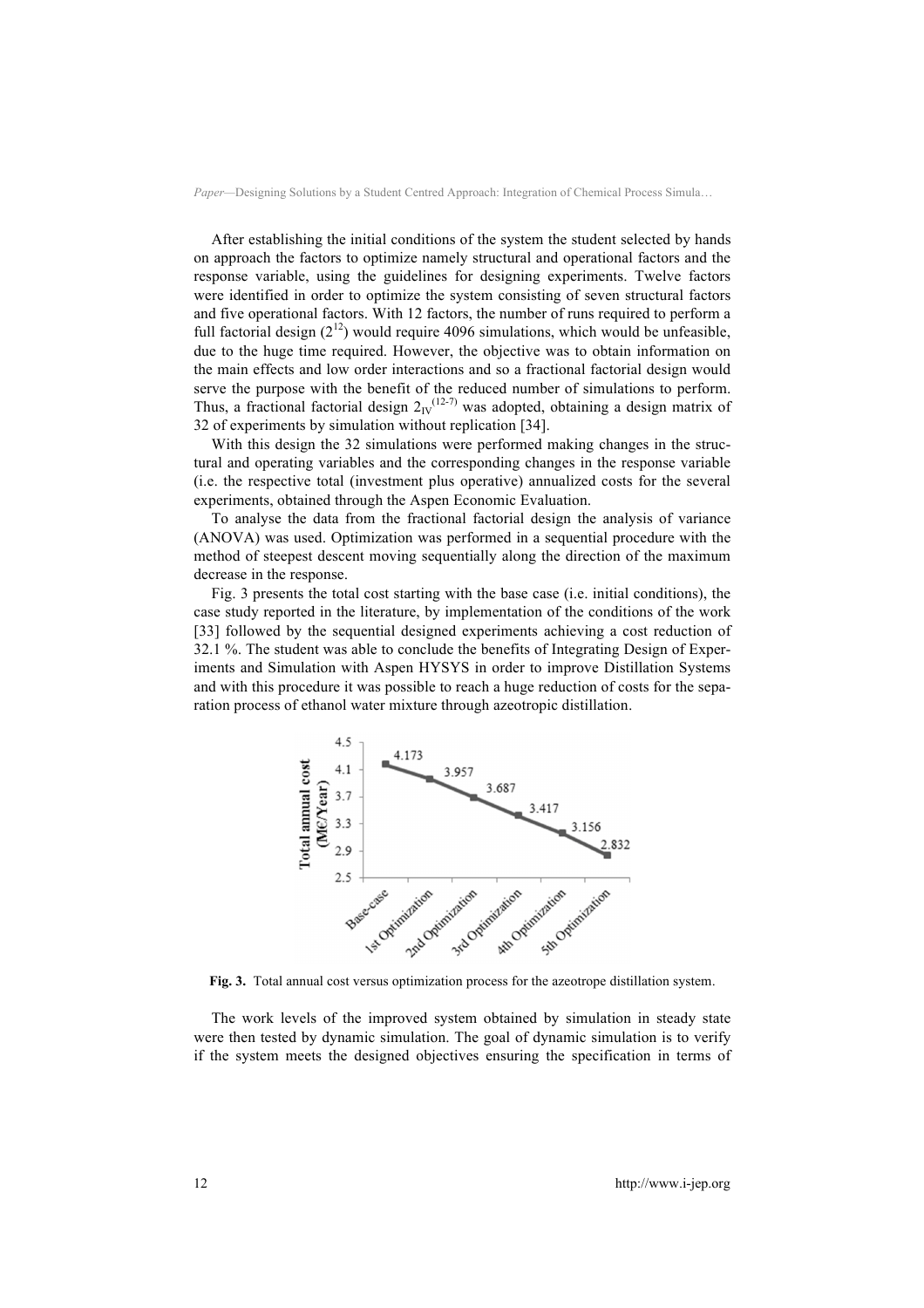After establishing the initial conditions of the system the student selected by hands on approach the factors to optimize namely structural and operational factors and the response variable, using the guidelines for designing experiments. Twelve factors were identified in order to optimize the system consisting of seven structural factors and five operational factors. With 12 factors, the number of runs required to perform a full factorial design  $(2^{12})$  would require 4096 simulations, which would be unfeasible, due to the huge time required. However, the objective was to obtain information on the main effects and low order interactions and so a fractional factorial design would serve the purpose with the benefit of the reduced number of simulations to perform. Thus, a fractional factorial design  $2_{\text{IV}}^{(12-7)}$  was adopted, obtaining a design matrix of 32 of experiments by simulation without replication [34].

With this design the 32 simulations were performed making changes in the structural and operating variables and the corresponding changes in the response variable (i.e. the respective total (investment plus operative) annualized costs for the several experiments, obtained through the Aspen Economic Evaluation.

To analyse the data from the fractional factorial design the analysis of variance (ANOVA) was used. Optimization was performed in a sequential procedure with the method of steepest descent moving sequentially along the direction of the maximum decrease in the response.

Fig. 3 presents the total cost starting with the base case (i.e. initial conditions), the case study reported in the literature, by implementation of the conditions of the work [33] followed by the sequential designed experiments achieving a cost reduction of 32.1 %. The student was able to conclude the benefits of Integrating Design of Experiments and Simulation with Aspen HYSYS in order to improve Distillation Systems and with this procedure it was possible to reach a huge reduction of costs for the separation process of ethanol water mixture through azeotropic distillation.



The work levels of the improved system obtained by simulation in steady state were then tested by dynamic simulation. The goal of dynamic simulation is to verify if the system meets the designed objectives ensuring the specification in terms of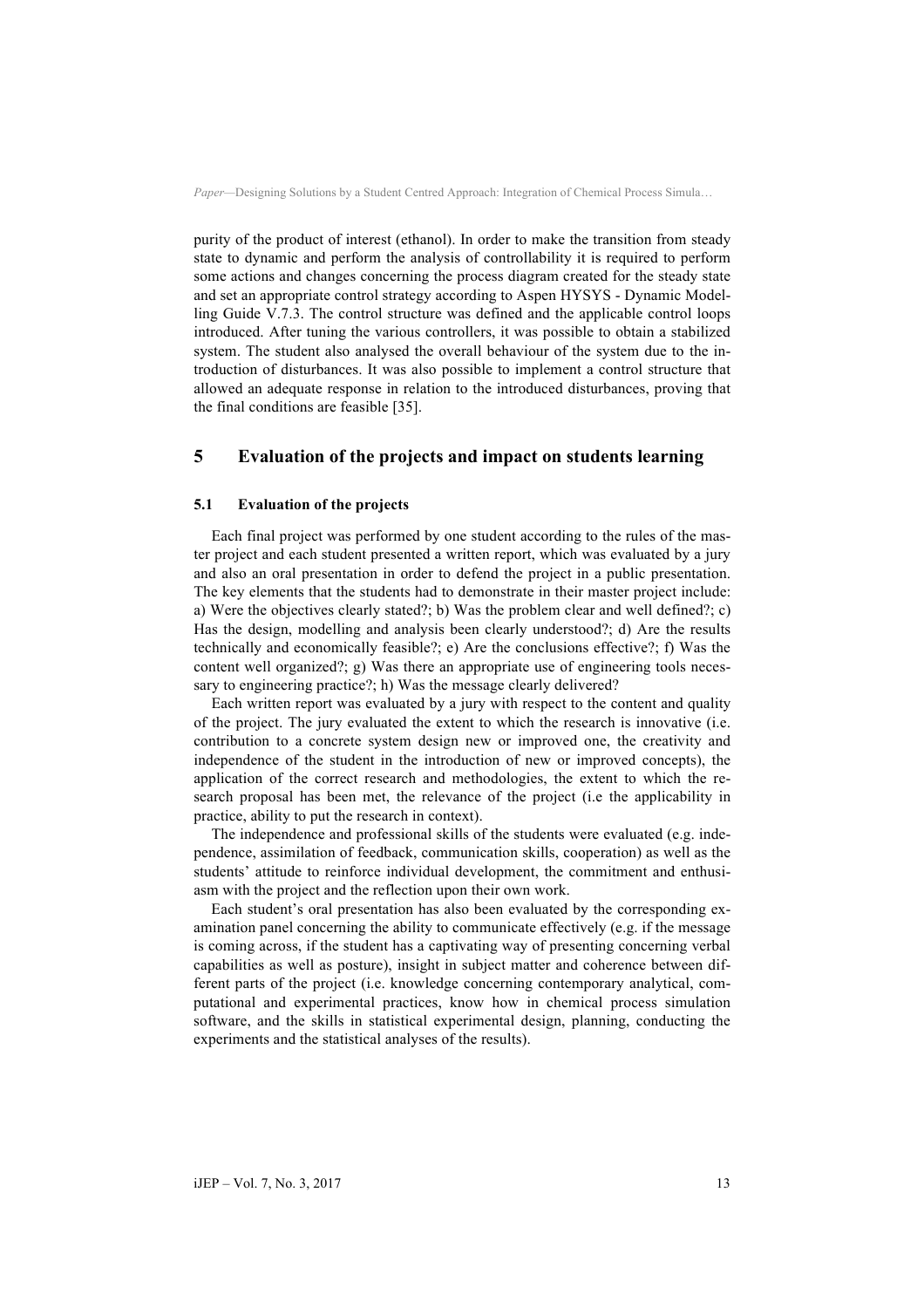purity of the product of interest (ethanol). In order to make the transition from steady state to dynamic and perform the analysis of controllability it is required to perform some actions and changes concerning the process diagram created for the steady state and set an appropriate control strategy according to Aspen HYSYS - Dynamic Modelling Guide V.7.3. The control structure was defined and the applicable control loops introduced. After tuning the various controllers, it was possible to obtain a stabilized system. The student also analysed the overall behaviour of the system due to the introduction of disturbances. It was also possible to implement a control structure that allowed an adequate response in relation to the introduced disturbances, proving that the final conditions are feasible [35].

# **5 Evaluation of the projects and impact on students learning**

#### **5.1 Evaluation of the projects**

Each final project was performed by one student according to the rules of the master project and each student presented a written report, which was evaluated by a jury and also an oral presentation in order to defend the project in a public presentation. The key elements that the students had to demonstrate in their master project include: a) Were the objectives clearly stated?; b) Was the problem clear and well defined?; c) Has the design, modelling and analysis been clearly understood?; d) Are the results technically and economically feasible?; e) Are the conclusions effective?; f) Was the content well organized?; g) Was there an appropriate use of engineering tools necessary to engineering practice?; h) Was the message clearly delivered?

Each written report was evaluated by a jury with respect to the content and quality of the project. The jury evaluated the extent to which the research is innovative (i.e. contribution to a concrete system design new or improved one, the creativity and independence of the student in the introduction of new or improved concepts), the application of the correct research and methodologies, the extent to which the research proposal has been met, the relevance of the project (i.e the applicability in practice, ability to put the research in context).

The independence and professional skills of the students were evaluated (e.g. independence, assimilation of feedback, communication skills, cooperation) as well as the students' attitude to reinforce individual development, the commitment and enthusiasm with the project and the reflection upon their own work.

Each student's oral presentation has also been evaluated by the corresponding examination panel concerning the ability to communicate effectively (e.g. if the message is coming across, if the student has a captivating way of presenting concerning verbal capabilities as well as posture), insight in subject matter and coherence between different parts of the project (i.e. knowledge concerning contemporary analytical, computational and experimental practices, know how in chemical process simulation software, and the skills in statistical experimental design, planning, conducting the experiments and the statistical analyses of the results).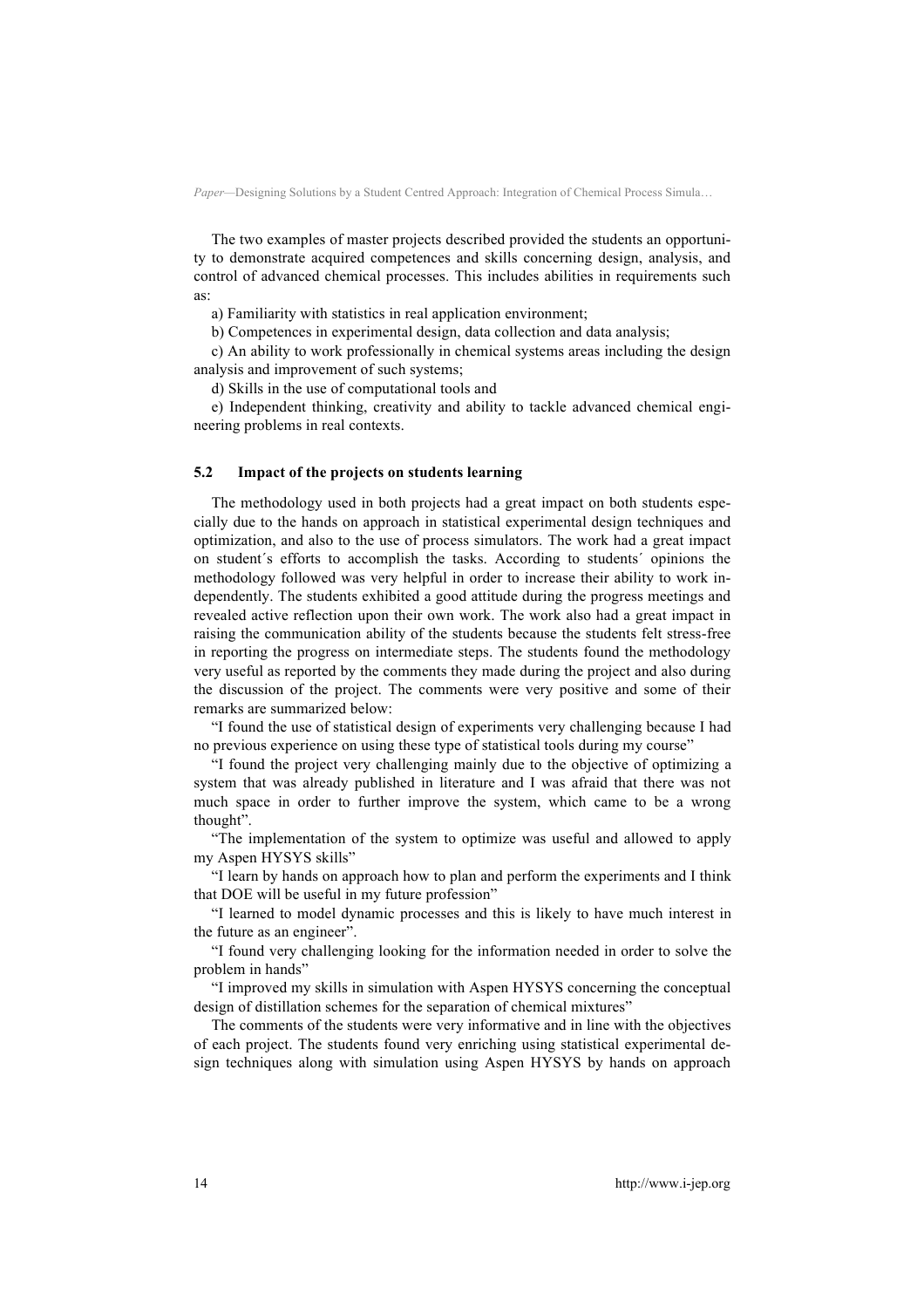The two examples of master projects described provided the students an opportunity to demonstrate acquired competences and skills concerning design, analysis, and control of advanced chemical processes. This includes abilities in requirements such as:

a) Familiarity with statistics in real application environment;

b) Competences in experimental design, data collection and data analysis;

c) An ability to work professionally in chemical systems areas including the design analysis and improvement of such systems;

d) Skills in the use of computational tools and

e) Independent thinking, creativity and ability to tackle advanced chemical engineering problems in real contexts.

#### **5.2 Impact of the projects on students learning**

The methodology used in both projects had a great impact on both students especially due to the hands on approach in statistical experimental design techniques and optimization, and also to the use of process simulators. The work had a great impact on student´s efforts to accomplish the tasks. According to students´ opinions the methodology followed was very helpful in order to increase their ability to work independently. The students exhibited a good attitude during the progress meetings and revealed active reflection upon their own work. The work also had a great impact in raising the communication ability of the students because the students felt stress-free in reporting the progress on intermediate steps. The students found the methodology very useful as reported by the comments they made during the project and also during the discussion of the project. The comments were very positive and some of their remarks are summarized below:

"I found the use of statistical design of experiments very challenging because I had no previous experience on using these type of statistical tools during my course"

"I found the project very challenging mainly due to the objective of optimizing a system that was already published in literature and I was afraid that there was not much space in order to further improve the system, which came to be a wrong thought".

"The implementation of the system to optimize was useful and allowed to apply my Aspen HYSYS skills"

"I learn by hands on approach how to plan and perform the experiments and I think that DOE will be useful in my future profession"

"I learned to model dynamic processes and this is likely to have much interest in the future as an engineer".

"I found very challenging looking for the information needed in order to solve the problem in hands"

"I improved my skills in simulation with Aspen HYSYS concerning the conceptual design of distillation schemes for the separation of chemical mixtures"

The comments of the students were very informative and in line with the objectives of each project. The students found very enriching using statistical experimental design techniques along with simulation using Aspen HYSYS by hands on approach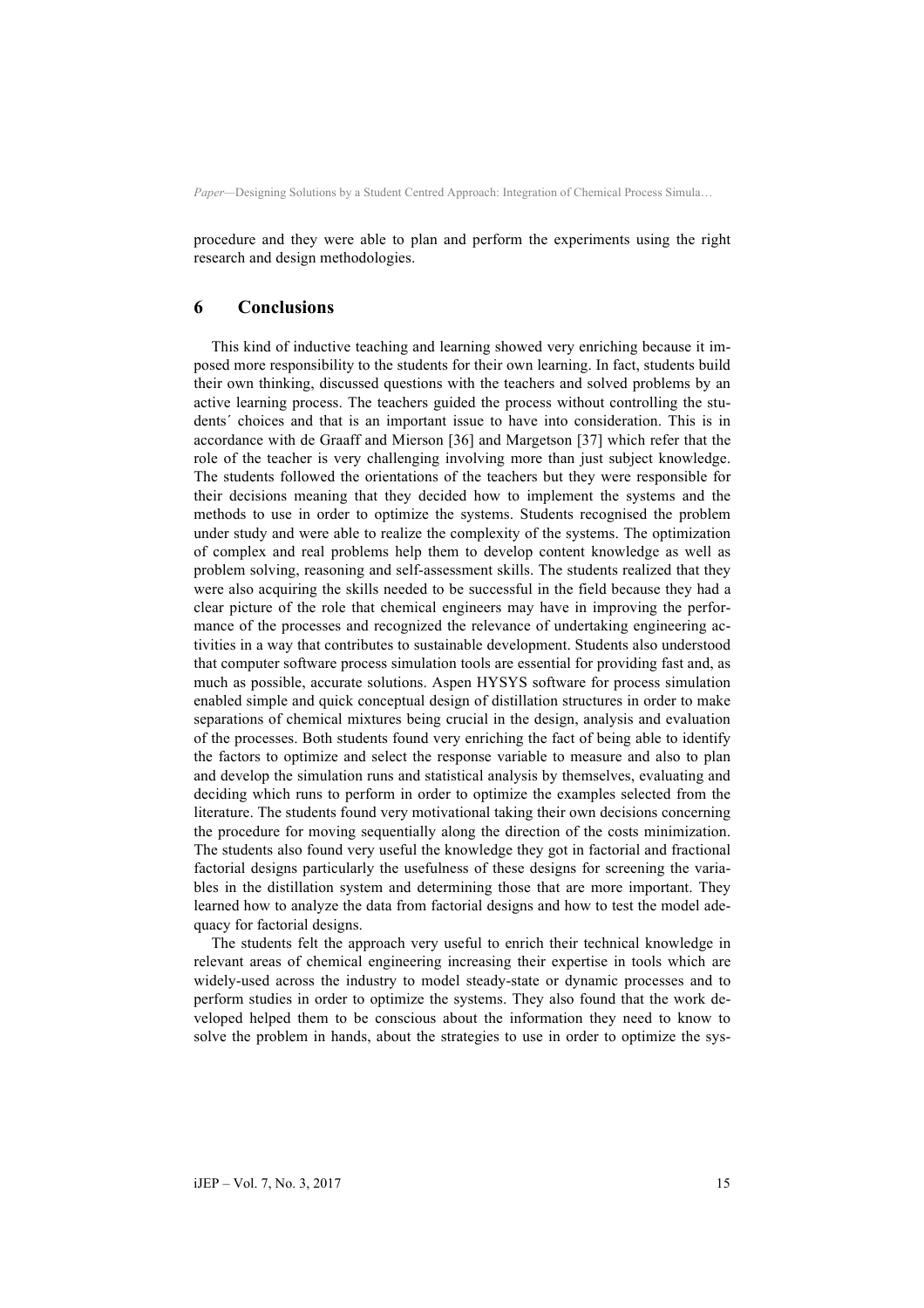procedure and they were able to plan and perform the experiments using the right research and design methodologies.

#### **6 Conclusions**

This kind of inductive teaching and learning showed very enriching because it imposed more responsibility to the students for their own learning. In fact, students build their own thinking, discussed questions with the teachers and solved problems by an active learning process. The teachers guided the process without controlling the students´ choices and that is an important issue to have into consideration. This is in accordance with de Graaff and Mierson [36] and Margetson [37] which refer that the role of the teacher is very challenging involving more than just subject knowledge. The students followed the orientations of the teachers but they were responsible for their decisions meaning that they decided how to implement the systems and the methods to use in order to optimize the systems. Students recognised the problem under study and were able to realize the complexity of the systems. The optimization of complex and real problems help them to develop content knowledge as well as problem solving, reasoning and self-assessment skills. The students realized that they were also acquiring the skills needed to be successful in the field because they had a clear picture of the role that chemical engineers may have in improving the performance of the processes and recognized the relevance of undertaking engineering activities in a way that contributes to sustainable development. Students also understood that computer software process simulation tools are essential for providing fast and, as much as possible, accurate solutions. Aspen HYSYS software for process simulation enabled simple and quick conceptual design of distillation structures in order to make separations of chemical mixtures being crucial in the design, analysis and evaluation of the processes. Both students found very enriching the fact of being able to identify the factors to optimize and select the response variable to measure and also to plan and develop the simulation runs and statistical analysis by themselves, evaluating and deciding which runs to perform in order to optimize the examples selected from the literature. The students found very motivational taking their own decisions concerning the procedure for moving sequentially along the direction of the costs minimization. The students also found very useful the knowledge they got in factorial and fractional factorial designs particularly the usefulness of these designs for screening the variables in the distillation system and determining those that are more important. They learned how to analyze the data from factorial designs and how to test the model adequacy for factorial designs.

The students felt the approach very useful to enrich their technical knowledge in relevant areas of chemical engineering increasing their expertise in tools which are widely-used across the industry to model steady-state or dynamic processes and to perform studies in order to optimize the systems. They also found that the work developed helped them to be conscious about the information they need to know to solve the problem in hands, about the strategies to use in order to optimize the sys-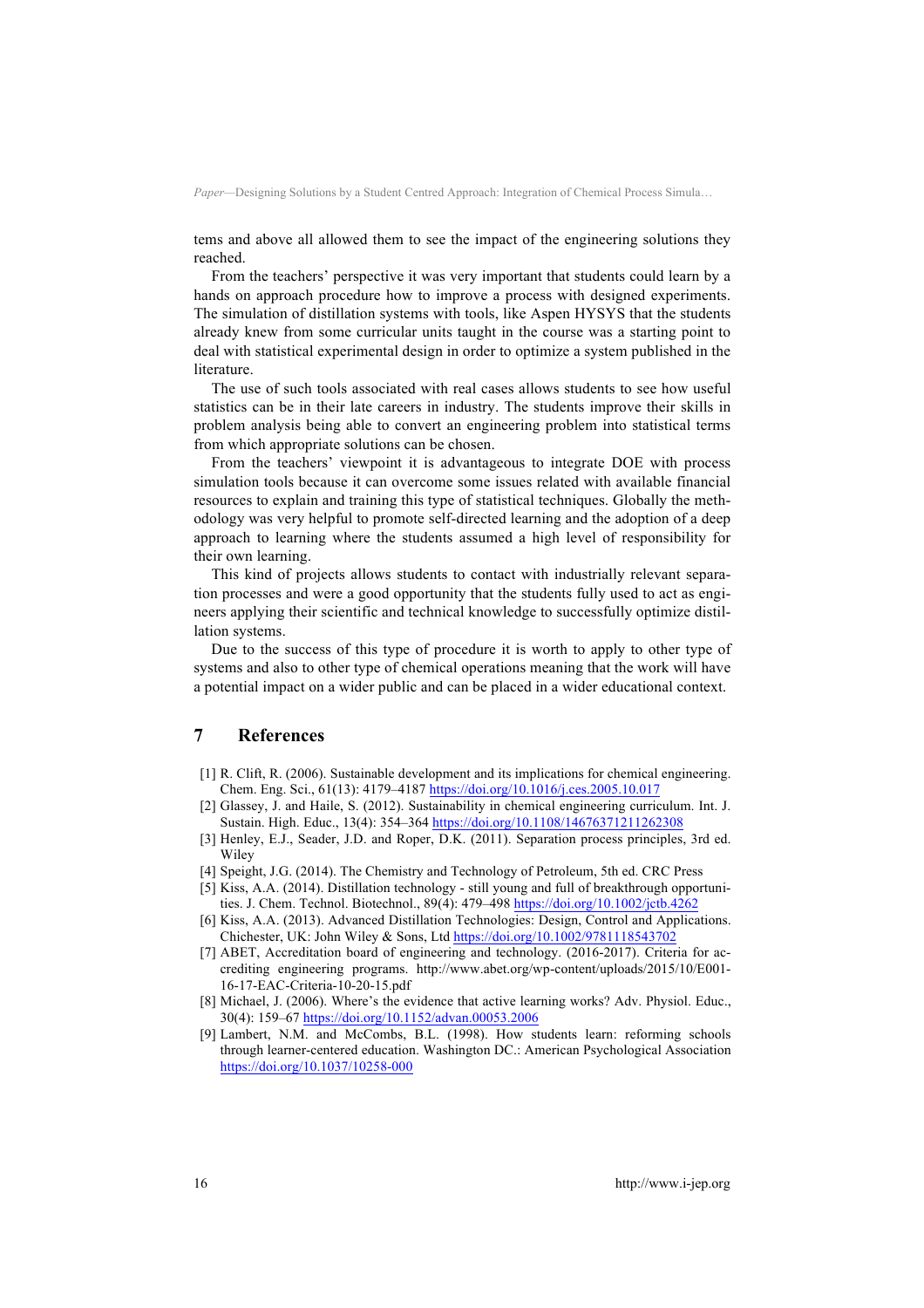tems and above all allowed them to see the impact of the engineering solutions they reached.

From the teachers' perspective it was very important that students could learn by a hands on approach procedure how to improve a process with designed experiments. The simulation of distillation systems with tools, like Aspen HYSYS that the students already knew from some curricular units taught in the course was a starting point to deal with statistical experimental design in order to optimize a system published in the literature.

The use of such tools associated with real cases allows students to see how useful statistics can be in their late careers in industry. The students improve their skills in problem analysis being able to convert an engineering problem into statistical terms from which appropriate solutions can be chosen.

From the teachers' viewpoint it is advantageous to integrate DOE with process simulation tools because it can overcome some issues related with available financial resources to explain and training this type of statistical techniques. Globally the methodology was very helpful to promote self-directed learning and the adoption of a deep approach to learning where the students assumed a high level of responsibility for their own learning.

This kind of projects allows students to contact with industrially relevant separation processes and were a good opportunity that the students fully used to act as engineers applying their scientific and technical knowledge to successfully optimize distillation systems.

Due to the success of this type of procedure it is worth to apply to other type of systems and also to other type of chemical operations meaning that the work will have a potential impact on a wider public and can be placed in a wider educational context.

### **7 References**

- [1] R. Clift, R. (2006). Sustainable development and its implications for chemical engineering. Chem. Eng. Sci., 61(13): 4179–4187 https://doi.org/10.1016/j.ces.2005.10.017
- [2] Glassey, J. and Haile, S. (2012). Sustainability in chemical engineering curriculum. Int. J. Sustain. High. Educ., 13(4): 354–364 https://doi.org/10.1108/14676371211262308
- [3] Henley, E.J., Seader, J.D. and Roper, D.K. (2011). Separation process principles, 3rd ed. **Wiley**
- [4] Speight, J.G. (2014). The Chemistry and Technology of Petroleum, 5th ed. CRC Press
- [5] Kiss, A.A. (2014). Distillation technology still young and full of breakthrough opportunities. J. Chem. Technol. Biotechnol., 89(4): 479–498 https://doi.org/10.1002/jctb.4262
- [6] Kiss, A.A. (2013). Advanced Distillation Technologies: Design, Control and Applications. Chichester, UK: John Wiley & Sons, Ltd https://doi.org/10.1002/9781118543702
- [7] ABET, Accreditation board of engineering and technology. (2016-2017). Criteria for accrediting engineering programs. http://www.abet.org/wp-content/uploads/2015/10/E001- 16-17-EAC-Criteria-10-20-15.pdf
- [8] Michael, J. (2006). Where's the evidence that active learning works? Adv. Physiol. Educ., 30(4): 159–67 https://doi.org/10.1152/advan.00053.2006
- [9] Lambert, N.M. and McCombs, B.L. (1998). How students learn: reforming schools through learner-centered education. Washington DC.: American Psychological Association https://doi.org/10.1037/10258-000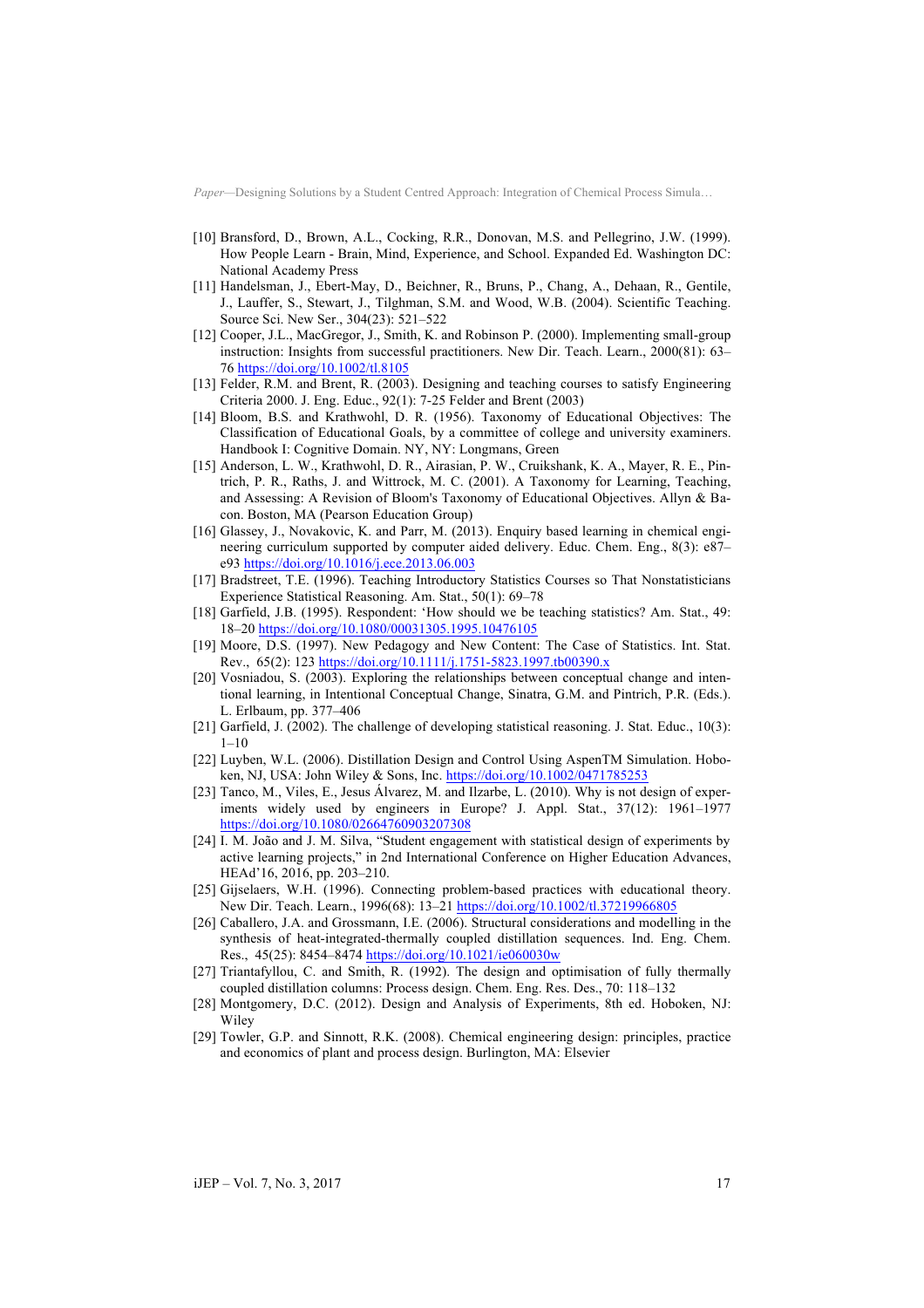- [10] Bransford, D., Brown, A.L., Cocking, R.R., Donovan, M.S. and Pellegrino, J.W. (1999). How People Learn - Brain, Mind, Experience, and School. Expanded Ed. Washington DC: National Academy Press
- [11] Handelsman, J., Ebert-May, D., Beichner, R., Bruns, P., Chang, A., Dehaan, R., Gentile, J., Lauffer, S., Stewart, J., Tilghman, S.M. and Wood, W.B. (2004). Scientific Teaching. Source Sci. New Ser., 304(23): 521–522
- [12] Cooper, J.L., MacGregor, J., Smith, K. and Robinson P. (2000). Implementing small-group instruction: Insights from successful practitioners. New Dir. Teach. Learn., 2000(81): 63– 76 https://doi.org/10.1002/tl.8105
- [13] Felder, R.M. and Brent, R. (2003). Designing and teaching courses to satisfy Engineering Criteria 2000. J. Eng. Educ., 92(1): 7-25 Felder and Brent (2003)
- [14] Bloom, B.S. and Krathwohl, D. R. (1956). Taxonomy of Educational Objectives: The Classification of Educational Goals, by a committee of college and university examiners. Handbook I: Cognitive Domain. NY, NY: Longmans, Green
- [15] Anderson, L. W., Krathwohl, D. R., Airasian, P. W., Cruikshank, K. A., Mayer, R. E., Pintrich, P. R., Raths, J. and Wittrock, M. C. (2001). A Taxonomy for Learning, Teaching, and Assessing: A Revision of Bloom's Taxonomy of Educational Objectives. Allyn & Bacon. Boston, MA (Pearson Education Group)
- [16] Glassey, J., Novakovic, K. and Parr, M. (2013). Enquiry based learning in chemical engineering curriculum supported by computer aided delivery. Educ. Chem. Eng., 8(3): e87– e93 https://doi.org/10.1016/j.ece.2013.06.003
- [17] Bradstreet, T.E. (1996). Teaching Introductory Statistics Courses so That Nonstatisticians Experience Statistical Reasoning. Am. Stat., 50(1): 69–78
- [18] Garfield, J.B. (1995). Respondent: 'How should we be teaching statistics? Am. Stat., 49: 18–20 https://doi.org/10.1080/00031305.1995.10476105
- [19] Moore, D.S. (1997). New Pedagogy and New Content: The Case of Statistics. Int. Stat. Rev., 65(2): 123 https://doi.org/10.1111/j.1751-5823.1997.tb00390.x
- [20] Vosniadou, S. (2003). Exploring the relationships between conceptual change and intentional learning, in Intentional Conceptual Change, Sinatra, G.M. and Pintrich, P.R. (Eds.). L. Erlbaum, pp. 377–406
- [21] Garfield, J. (2002). The challenge of developing statistical reasoning. J. Stat. Educ., 10(3):  $1 - 10$
- [22] Luyben, W.L. (2006). Distillation Design and Control Using AspenTM Simulation. Hoboken, NJ, USA: John Wiley & Sons, Inc. https://doi.org/10.1002/0471785253
- [23] Tanco, M., Viles, E., Jesus Álvarez, M. and Ilzarbe, L. (2010). Why is not design of experiments widely used by engineers in Europe? J. Appl. Stat., 37(12): 1961–1977 https://doi.org/10.1080/02664760903207308
- [24] I. M. João and J. M. Silva, "Student engagement with statistical design of experiments by active learning projects," in 2nd International Conference on Higher Education Advances, HEAd'16, 2016, pp. 203–210.
- [25] Gijselaers, W.H. (1996). Connecting problem-based practices with educational theory. New Dir. Teach. Learn., 1996(68): 13–21 https://doi.org/10.1002/tl.37219966805
- [26] Caballero, J.A. and Grossmann, I.E. (2006). Structural considerations and modelling in the synthesis of heat-integrated-thermally coupled distillation sequences. Ind. Eng. Chem. Res., 45(25): 8454–8474 https://doi.org/10.1021/ie060030w
- [27] Triantafyllou, C. and Smith, R. (1992). The design and optimisation of fully thermally coupled distillation columns: Process design. Chem. Eng. Res. Des., 70: 118–132
- [28] Montgomery, D.C. (2012). Design and Analysis of Experiments, 8th ed. Hoboken, NJ: Wiley
- [29] Towler, G.P. and Sinnott, R.K. (2008). Chemical engineering design: principles, practice and economics of plant and process design. Burlington, MA: Elsevier